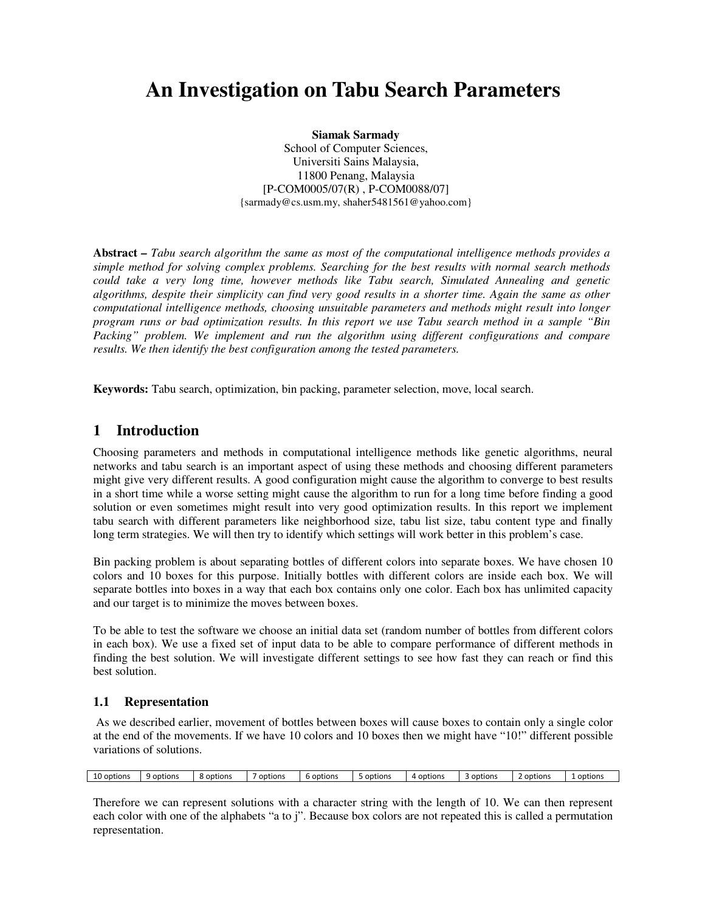# **An Investigation on Tabu Search Parameters**

**Siamak Sarmady**  School of Computer Sciences, Universiti Sains Malaysia, 11800 Penang, Malaysia [P-COM0005/07(R) , P-COM0088/07] {sarmady@cs.usm.my, shaher5481561@yahoo.com}

**Abstract** *– Tabu search algorithm the same as most of the computational intelligence methods provides a simple method for solving complex problems. Searching for the best results with normal search methods could take a very long time, however methods like Tabu search, Simulated Annealing and genetic algorithms, despite their simplicity can find very good results in a shorter time. Again the same as other computational intelligence methods, choosing unsuitable parameters and methods might result into longer program runs or bad optimization results. In this report we use Tabu search method in a sample "Bin Packing" problem. We implement and run the algorithm using different configurations and compare results. We then identify the best configuration among the tested parameters.* 

**Keywords:** Tabu search, optimization, bin packing, parameter selection, move, local search.

# **1 Introduction**

Choosing parameters and methods in computational intelligence methods like genetic algorithms, neural networks and tabu search is an important aspect of using these methods and choosing different parameters might give very different results. A good configuration might cause the algorithm to converge to best results in a short time while a worse setting might cause the algorithm to run for a long time before finding a good solution or even sometimes might result into very good optimization results. In this report we implement tabu search with different parameters like neighborhood size, tabu list size, tabu content type and finally long term strategies. We will then try to identify which settings will work better in this problem's case.

Bin packing problem is about separating bottles of different colors into separate boxes. We have chosen 10 colors and 10 boxes for this purpose. Initially bottles with different colors are inside each box. We will separate bottles into boxes in a way that each box contains only one color. Each box has unlimited capacity and our target is to minimize the moves between boxes.

To be able to test the software we choose an initial data set (random number of bottles from different colors in each box). We use a fixed set of input data to be able to compare performance of different methods in finding the best solution. We will investigate different settings to see how fast they can reach or find this best solution.

## **1.1 Representation**

 As we described earlier, movement of bottles between boxes will cause boxes to contain only a single color at the end of the movements. If we have 10 colors and 10 boxes then we might have "10!" different possible variations of solutions.

| 10 options | options<br>. . | options ک | options | 6 options | options <sub>.</sub> | options | options | options | options |
|------------|----------------|-----------|---------|-----------|----------------------|---------|---------|---------|---------|
|------------|----------------|-----------|---------|-----------|----------------------|---------|---------|---------|---------|

Therefore we can represent solutions with a character string with the length of 10. We can then represent each color with one of the alphabets "a to j". Because box colors are not repeated this is called a permutation representation.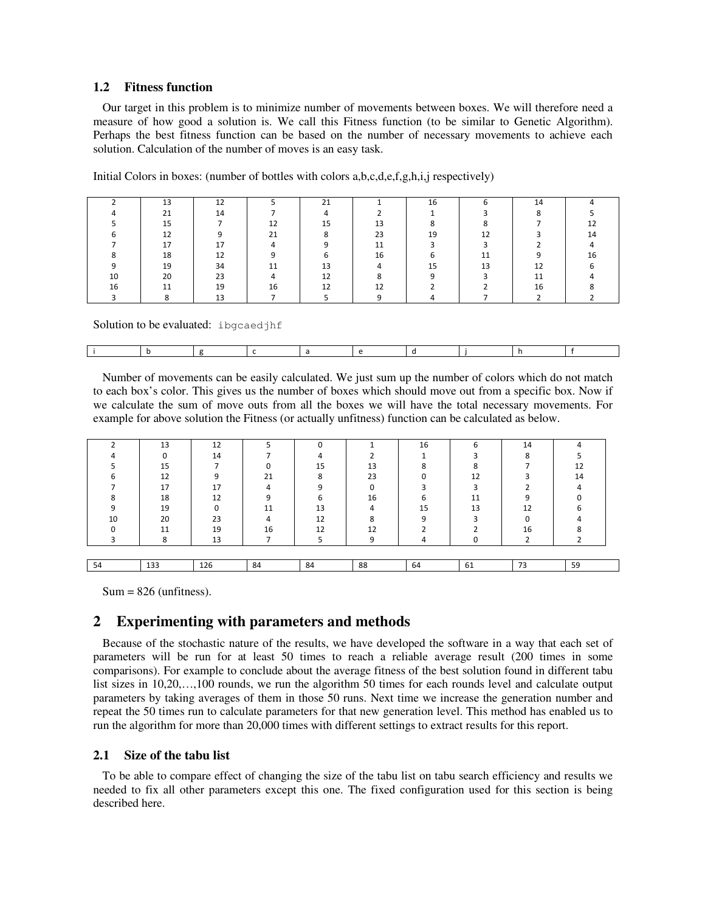### **1.2 Fitness function**

Our target in this problem is to minimize number of movements between boxes. We will therefore need a measure of how good a solution is. We call this Fitness function (to be similar to Genetic Algorithm). Perhaps the best fitness function can be based on the number of necessary movements to achieve each solution. Calculation of the number of moves is an easy task.

Initial Colors in boxes: (number of bottles with colors a,b,c,d,e,f,g,h,i,j respectively)

|    | 13 | 12 |    | 21 |    | 16 |    | 14 |    |
|----|----|----|----|----|----|----|----|----|----|
|    | 21 | 14 |    |    |    |    |    |    |    |
|    | 15 |    | 12 | 15 | 13 |    |    |    |    |
|    | 12 |    | 21 |    | 23 | 19 | 12 |    | 14 |
|    | 17 | 17 |    |    | 11 |    |    |    |    |
|    | 18 | 12 |    |    | 16 |    | 11 |    | 16 |
|    | 19 | 34 |    | 13 |    |    | 13 | 12 |    |
| 10 | 20 | 23 |    | 12 |    |    |    | 11 |    |
| 16 | 11 | 19 | 16 | 12 | 12 |    |    | 16 |    |
|    |    | 13 |    |    |    |    |    |    |    |

Solution to be evaluated: ibgcaedjhf

|--|--|--|--|--|--|--|--|--|--|

Number of movements can be easily calculated. We just sum up the number of colors which do not match to each box's color. This gives us the number of boxes which should move out from a specific box. Now if we calculate the sum of move outs from all the boxes we will have the total necessary movements. For example for above solution the Fitness (or actually unfitness) function can be calculated as below.

|    | 13      | 12  |    | n  |    | 16     | 6  | 14      |    |
|----|---------|-----|----|----|----|--------|----|---------|----|
|    |         | 14  |    |    |    |        |    | $\circ$ |    |
|    | 15      |     |    | 15 | 13 | ິ<br>៱ |    |         | 12 |
|    | 12      |     | 21 | Ջ  | 23 | n      | 12 |         | 14 |
|    | 17      | 17  |    |    |    |        |    |         |    |
|    | 18      | 12  |    |    | 16 | n      | 11 |         |    |
|    | 19      |     | 11 | 13 |    | 15     | 13 | 12      |    |
| 10 | 20      | 23  |    | 12 |    | ۵      |    | O       |    |
|    | 11      | 19  | 16 | 12 | 12 |        |    | 16      |    |
|    | ິ<br>C. | 13  |    |    | ⌒  |        |    |         |    |
|    |         |     |    |    |    |        |    |         |    |
| 54 | 133     | 126 | 84 | 84 | 88 | 64     | 61 | 73      | 59 |

 $Sum = 826$  (unfitness).

# **Experimenting with parameters and methods**

Because of the stochastic nature of the results, we have developed the software in a way that each set of parameters will be run for at least 50 times to reach a reliable average result (200 times in some comparisons). For example to conclude about the average fitness of the best solution found in different tabu list sizes in 10,20,...,100 rounds, we run the algorithm 50 times for each rounds level and calculate output parameters by taking averages of them in those 50 runs. Next time we increase the generation number and repeat the 50 times run to calculate parameters for that new generation level. This method has enabled us to run the algorithm for more than 20,000 times with different settings to extract results for this report.

## **2.1 Size of the tabu list**

To be able to compare effect of changing the size of the tabu list on tabu search efficiency and results we needed to fix all other parameters except this one. The fixed configuration used for this section is being described here.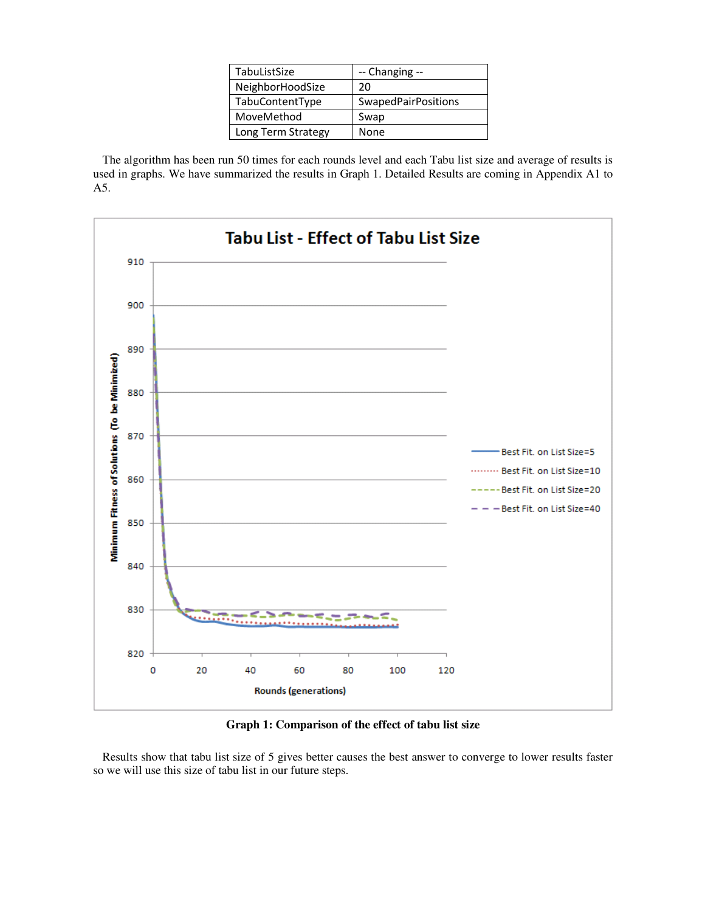| TabuListSize       | -- Changing --             |
|--------------------|----------------------------|
| NeighborHoodSize   | 20                         |
| TabuContentType    | <b>SwapedPairPositions</b> |
| MoveMethod         | Swap                       |
| Long Term Strategy | None                       |

The algorithm has been run 50 times for each rounds level and each Tabu list size and average of results is used in graphs. We have summarized the results in Graph 1. Detailed Results are coming in Appendix A1 to A5.



**Graph 1: Comparison of the effect of tabu list size**

Results show that tabu list size of 5 gives better causes the best answer to converge to lower results faster so we will use this size of tabu list in our future steps.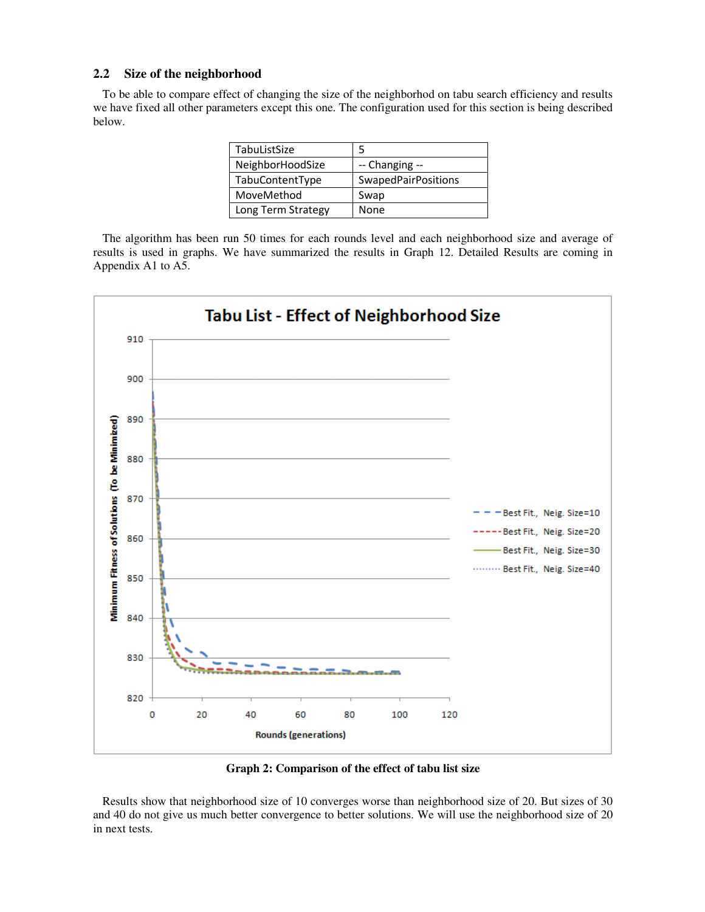### **2.2 Size of the neighborhood**

To be able to compare effect of changing the size of the neighborhod on tabu search efficiency and results we have fixed all other parameters except this one. The configuration used for this section is being described below.

| TabuListSize       |                            |
|--------------------|----------------------------|
| NeighborHoodSize   | -- Changing --             |
| TabuContentType    | <b>SwapedPairPositions</b> |
| MoveMethod         | Swap                       |
| Long Term Strategy | None                       |

The algorithm has been run 50 times for each rounds level and each neighborhood size and average of results is used in graphs. We have summarized the results in Graph 12. Detailed Results are coming in Appendix A1 to A5.



**Graph 2: Comparison of the effect of tabu list size**

Results show that neighborhood size of 10 converges worse than neighborhood size of 20. But sizes of 30 and 40 do not give us much better convergence to better solutions. We will use the neighborhood size of 20 in next tests.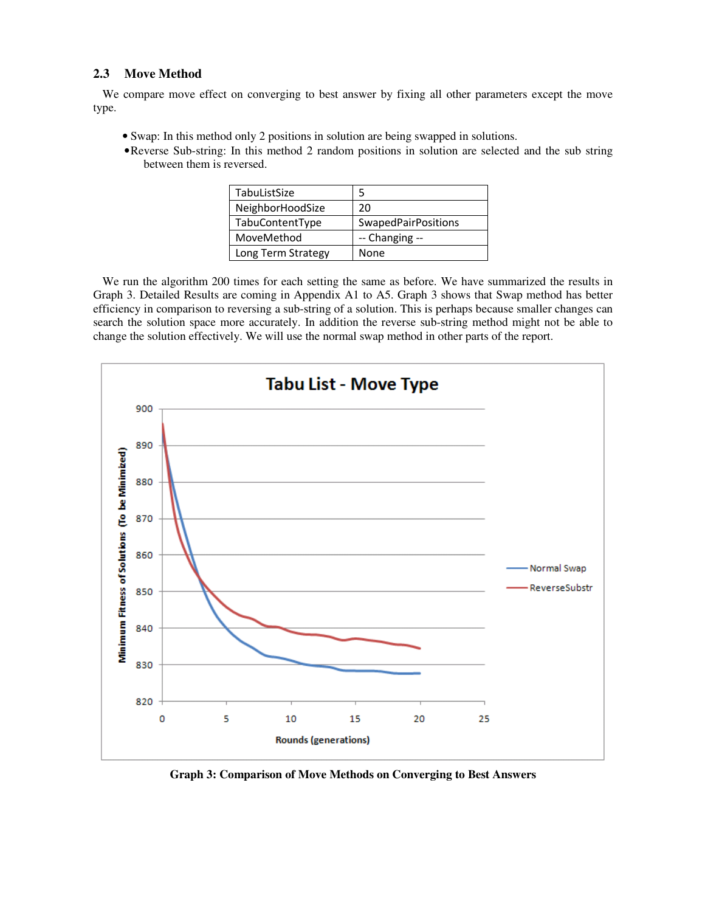### **2.3 Move Method**

We compare move effect on converging to best answer by fixing all other parameters except the move type.

- Swap: In this method only 2 positions in solution are being swapped in solutions.
- •Reverse Sub-string: In this method 2 random positions in solution are selected and the sub string between them is reversed.

| TabuListSize       |                            |
|--------------------|----------------------------|
| NeighborHoodSize   | 20                         |
| TabuContentType    | <b>SwapedPairPositions</b> |
| MoveMethod         | -- Changing --             |
| Long Term Strategy | None                       |

We run the algorithm 200 times for each setting the same as before. We have summarized the results in Graph 3. Detailed Results are coming in Appendix A1 to A5. Graph 3 shows that Swap method has better efficiency in comparison to reversing a sub-string of a solution. This is perhaps because smaller changes can search the solution space more accurately. In addition the reverse sub-string method might not be able to change the solution effectively. We will use the normal swap method in other parts of the report.



**Graph 3: Comparison of Move Methods on Converging to Best Answers**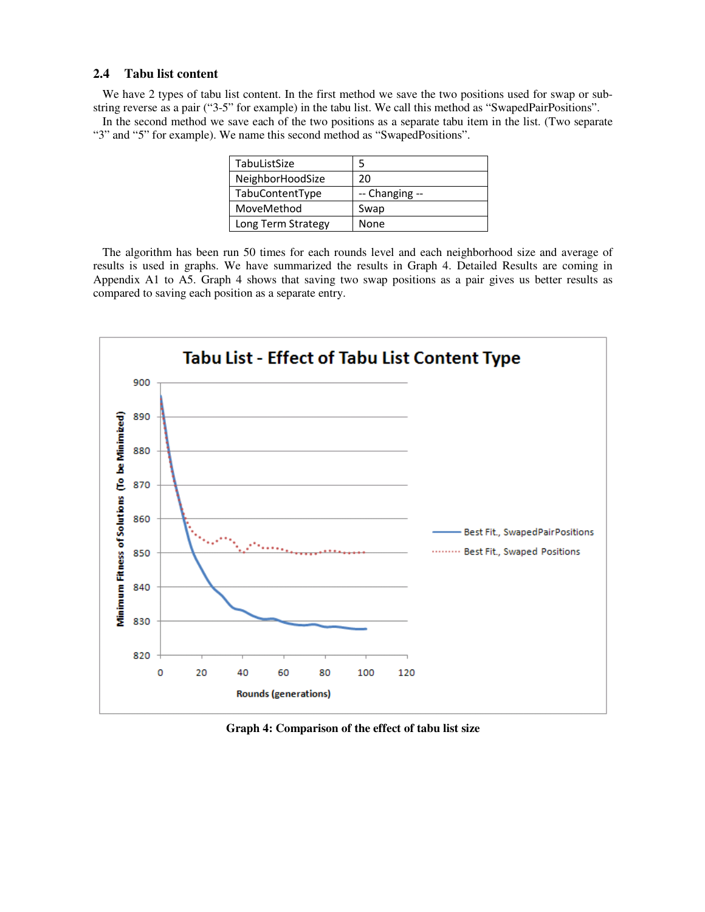### **2.4 Tabu list content**

We have 2 types of tabu list content. In the first method we save the two positions used for swap or substring reverse as a pair ("3-5" for example) in the tabu list. We call this method as "SwapedPairPositions".

In the second method we save each of the two positions as a separate tabu item in the list. (Two separate "3" and "5" for example). We name this second method as "SwapedPositions".

| TabuListSize       |                |
|--------------------|----------------|
| NeighborHoodSize   | 20             |
| TabuContentType    | -- Changing -- |
| MoveMethod         | Swap           |
| Long Term Strategy | None           |

The algorithm has been run 50 times for each rounds level and each neighborhood size and average of results is used in graphs. We have summarized the results in Graph 4. Detailed Results are coming in Appendix A1 to A5. Graph 4 shows that saving two swap positions as a pair gives us better results as compared to saving each position as a separate entry.



**Graph 4: Comparison of the effect of tabu list size**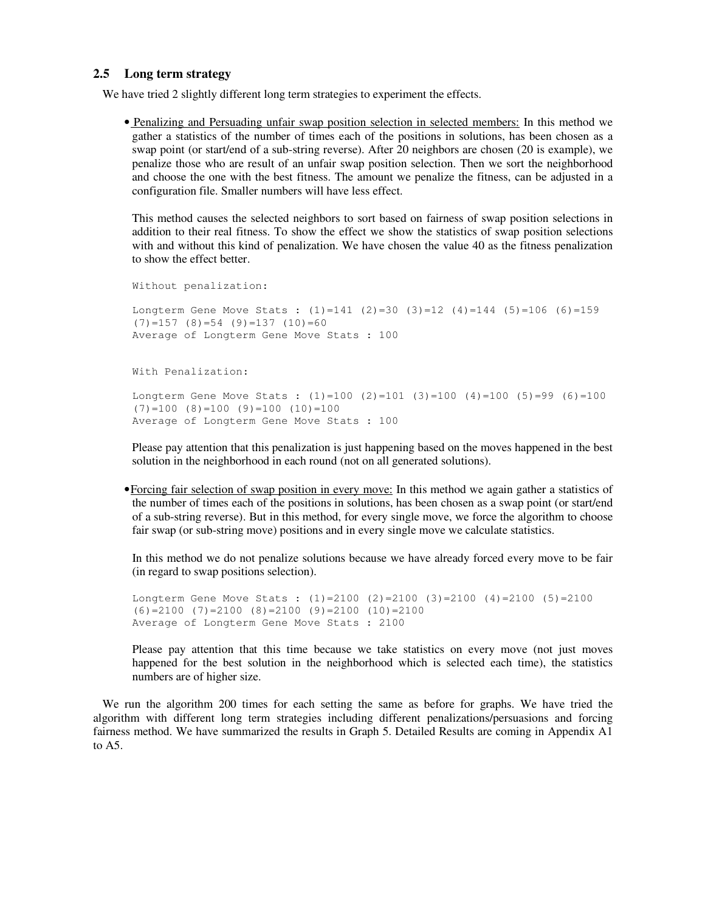### **2.5 Long term strategy**

We have tried 2 slightly different long term strategies to experiment the effects.

• Penalizing and Persuading unfair swap position selection in selected members: In this method we gather a statistics of the number of times each of the positions in solutions, has been chosen as a swap point (or start/end of a sub-string reverse). After 20 neighbors are chosen (20 is example), we penalize those who are result of an unfair swap position selection. Then we sort the neighborhood and choose the one with the best fitness. The amount we penalize the fitness, can be adjusted in a configuration file. Smaller numbers will have less effect.

This method causes the selected neighbors to sort based on fairness of swap position selections in addition to their real fitness. To show the effect we show the statistics of swap position selections with and without this kind of penalization. We have chosen the value 40 as the fitness penalization to show the effect better.

```
Without penalization: 
Longterm Gene Move Stats : (1)=141 (2)=30 (3)=12 (4)=144 (5)=106 (6)=159(7)=157 (8)=54 (9)=137 (10)=60Average of Longterm Gene Move Stats : 100 
With Penalization:
```

```
Longterm Gene Move Stats : (1)=100 (2)=101 (3)=100 (4)=100 (5)=99 (6)=100 
(7)=100 (8)=100 (9)=100 (10)=100Average of Longterm Gene Move Stats : 100
```
Please pay attention that this penalization is just happening based on the moves happened in the best solution in the neighborhood in each round (not on all generated solutions).

•Forcing fair selection of swap position in every move: In this method we again gather a statistics of the number of times each of the positions in solutions, has been chosen as a swap point (or start/end of a sub-string reverse). But in this method, for every single move, we force the algorithm to choose fair swap (or sub-string move) positions and in every single move we calculate statistics.

In this method we do not penalize solutions because we have already forced every move to be fair (in regard to swap positions selection).

Longterm Gene Move Stats :  $(1)=2100$   $(2)=2100$   $(3)=2100$   $(4)=2100$   $(5)=2100$  $(6)=2100$   $(7)=2100$   $(8)=2100$   $(9)=2100$   $(10)=2100$ Average of Longterm Gene Move Stats : 2100

Please pay attention that this time because we take statistics on every move (not just moves happened for the best solution in the neighborhood which is selected each time), the statistics numbers are of higher size.

We run the algorithm 200 times for each setting the same as before for graphs. We have tried the algorithm with different long term strategies including different penalizations/persuasions and forcing fairness method. We have summarized the results in Graph 5. Detailed Results are coming in Appendix A1 to A5.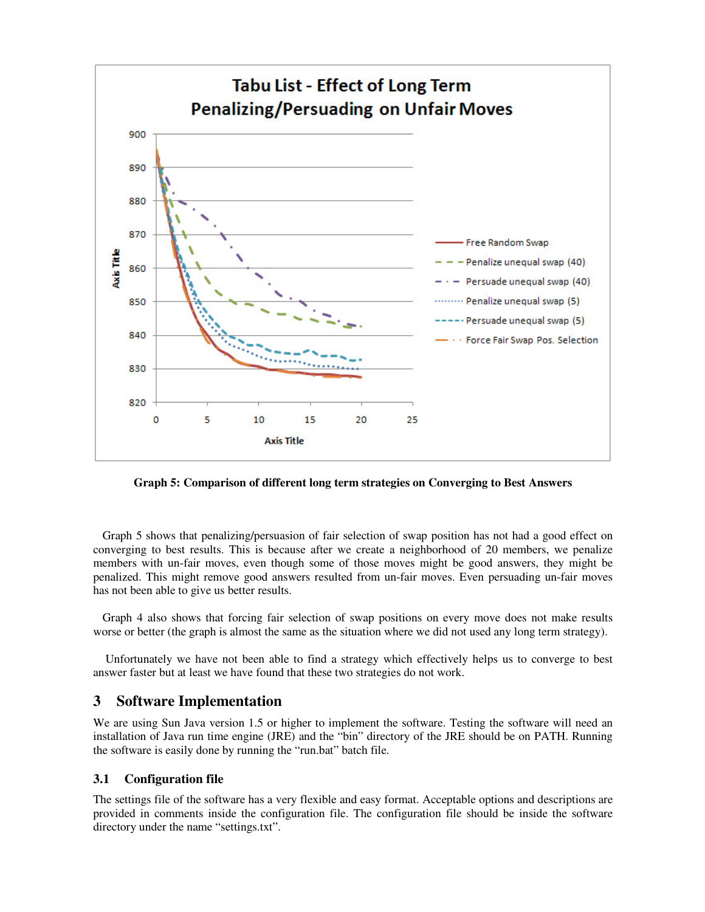

**Graph 5: Comparison of different long term strategies on Converging to Best Answers** 

Graph 5 shows that penalizing/persuasion of fair selection of swap position has not had a good effect on converging to best results. This is because after we create a neighborhood of 20 members, we penalize members with un-fair moves, even though some of those moves might be good answers, they might be penalized. This might remove good answers resulted from un-fair moves. Even persuading un-fair moves has not been able to give us better results.

Graph 4 also shows that forcing fair selection of swap positions on every move does not make results worse or better (the graph is almost the same as the situation where we did not used any long term strategy).

 Unfortunately we have not been able to find a strategy which effectively helps us to converge to best answer faster but at least we have found that these two strategies do not work.

# **3 Software Implementation**

We are using Sun Java version 1.5 or higher to implement the software. Testing the software will need an installation of Java run time engine (JRE) and the "bin" directory of the JRE should be on PATH. Running the software is easily done by running the "run.bat" batch file.

# **3.1 Configuration file**

The settings file of the software has a very flexible and easy format. Acceptable options and descriptions are provided in comments inside the configuration file. The configuration file should be inside the software directory under the name "settings.txt".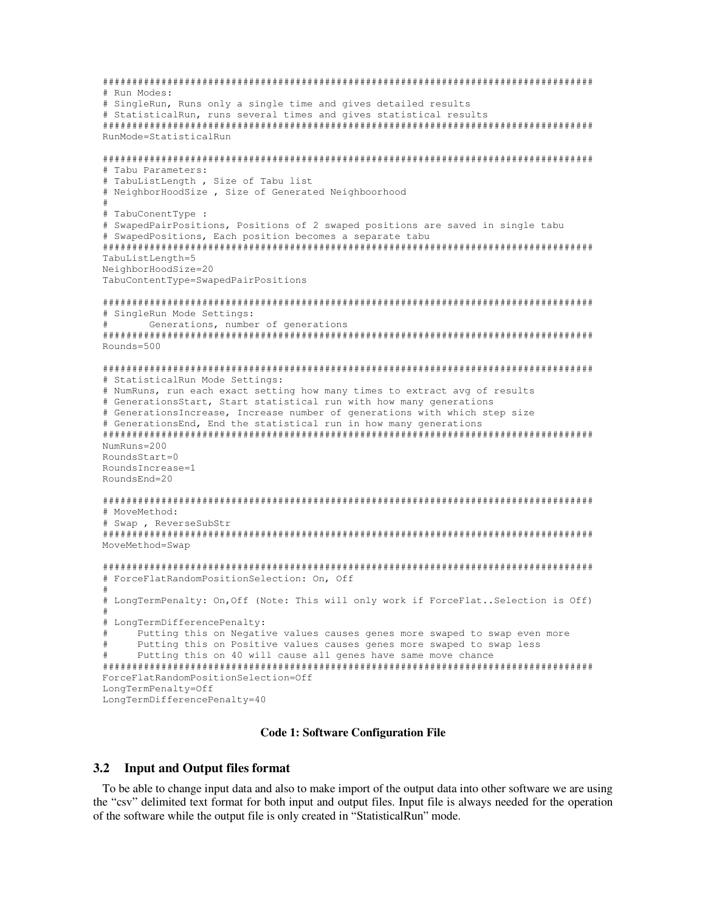```
#################################################################################### 
# Run Modes: 
# SingleRun, Runs only a single time and gives detailed results 
# StatisticalRun, runs several times and gives statistical results 
#################################################################################### 
RunMode=StatisticalRun 
#################################################################################### 
# Tabu Parameters: 
# TabuListLength , Size of Tabu list 
# NeighborHoodSize , Size of Generated Neighboorhood 
# 
# TabuConentType : 
# SwapedPairPositions, Positions of 2 swaped positions are saved in single tabu 
# SwapedPositions, Each position becomes a separate tabu 
#################################################################################### 
TabuListLength=5 
NeighborHoodSize=20
TabuContentType=SwapedPairPositions 
#################################################################################### 
# SingleRun Mode Settings: 
# Generations, number of generations 
#################################################################################### 
Rounds=500 
#################################################################################### 
# StatisticalRun Mode Settings: 
# NumRuns, run each exact setting how many times to extract avg of results 
# GenerationsStart, Start statistical run with how many generations 
# GenerationsIncrease, Increase number of generations with which step size 
# GenerationsEnd, End the statistical run in how many generations 
#################################################################################### 
NumRuns=200 
RoundsStart=0 
RoundsIncrease=1 
RoundsEnd=20 
#################################################################################### 
# MoveMethod: 
# Swap , ReverseSubStr 
#################################################################################### 
MoveMethod=Swap 
#################################################################################### 
# ForceFlatRandomPositionSelection: On, Off 
# 
# LongTermPenalty: On,Off (Note: This will only work if ForceFlat..Selection is Off) 
# 
# LongTermDifferencePenalty: 
# Putting this on Negative values causes genes more swaped to swap even more 
# Putting this on Positive values causes genes more swaped to swap less 
# Putting this on 40 will cause all genes have same move chance 
#################################################################################### 
ForceFlatRandomPositionSelection=Off 
LongTermPenalty=Off 
LongTermDifferencePenalty=40
```
#### **Code 1: Software Configuration File**

#### **3.2 Input and Output files format**

To be able to change input data and also to make import of the output data into other software we are using the "csv" delimited text format for both input and output files. Input file is always needed for the operation of the software while the output file is only created in "StatisticalRun" mode.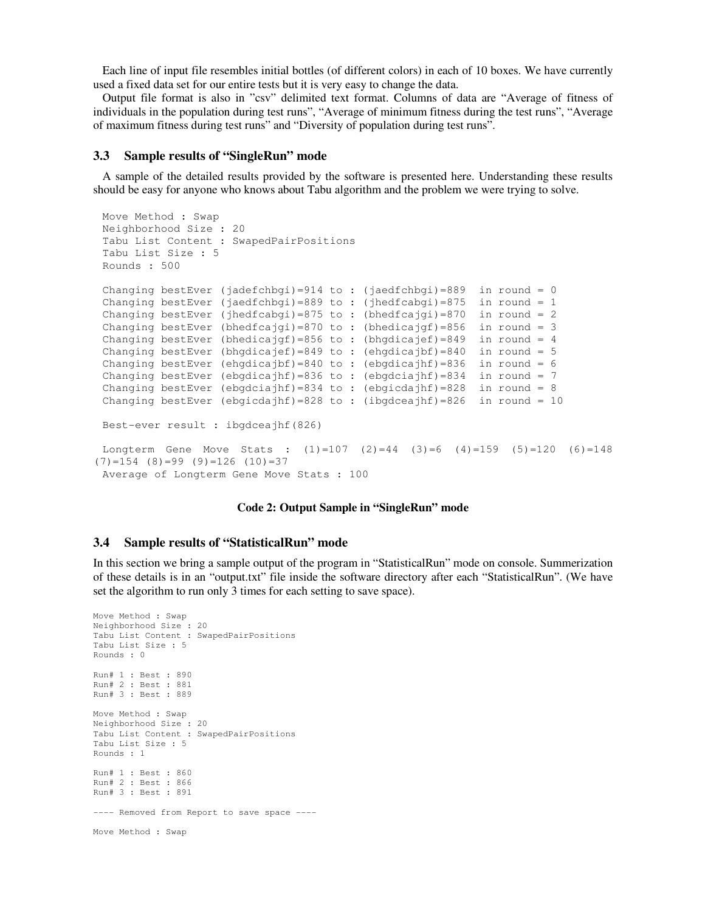Each line of input file resembles initial bottles (of different colors) in each of 10 boxes. We have currently used a fixed data set for our entire tests but it is very easy to change the data.

Output file format is also in "csv" delimited text format. Columns of data are "Average of fitness of individuals in the population during test runs", "Average of minimum fitness during the test runs", "Average of maximum fitness during test runs" and "Diversity of population during test runs".

#### **3.3 Sample results of "SingleRun" mode**

A sample of the detailed results provided by the software is presented here. Understanding these results should be easy for anyone who knows about Tabu algorithm and the problem we were trying to solve.

```
Move Method : Swap 
Neighborhood Size : 20 
Tabu List Content : SwapedPairPositions 
Tabu List Size : 5 
Rounds : 500 
Changing bestEver (jadefchbgi)=914 to : (jaedfchbgi)=889 in round = 0
Changing bestEver (jaedfchbgi)=889 to : (jhedfcabgi)=875 in round = 1
Changing bestEver (jhedfcabgi)=875 to : (bhedfcajgi)=870 in round = 2
Changing bestEver (bhedfcajgi)=870 to : (bhedicajgf)=856 in round = 3
Changing bestEver (bhedicajgf)=856 to : (bhgdicajef)=849 in round = 4
Changing bestEver (bhgdicajef)=849 to : (ehgdicajbf)=840 in round = 5
Changing bestEver (ehgdicajbf)=840 to : (ebgdicajhf)=836 in round = 6
Changing bestEver (ebgdicajhf)=836 to : (ebgdciajhf)=834 in round = 7
Changing bestEver (ebgdciajhf)=834 to : (ebgicdajhf)=828 in round = 8
Changing bestEver (ebgicdajhf)=828 to: (ibgdceajhf)=826 in round = 10
Best-ever result : ibgdceajhf(826) 
Longterm Gene Move Stats : (1)=107 (2)=44 (3)=6 (4)=159 (5)=120 (6)=148(7)=154 (8)=99 (9)=126 (10)=37Average of Longterm Gene Move Stats : 100
```
## **Code 2: Output Sample in "SingleRun" mode**

### **3.4 Sample results of "StatisticalRun" mode**

In this section we bring a sample output of the program in "StatisticalRun" mode on console. Summerization of these details is in an "output.txt" file inside the software directory after each "StatisticalRun". (We have set the algorithm to run only 3 times for each setting to save space).

```
Move Method : Swap 
Neighborhood Size : 20 
Tabu List Content : SwapedPairPositions 
Tabu List Size : 5 
Rounds : 0 
Run# 1 : Best : 890 
Run# 2 : Best : 881 
Run# 3 : Best : 889 
Move Method : Swap 
Neighborhood Size : 20 
Tabu List Content : SwapedPairPositions 
Tabu List Size : 5 
Rounds : 1 
Run# 1 : Best : 860 
Run# 2 : Best : 866 
Run# 3 : Best : 891 
---- Removed from Report to save space ----
Move Method : Swap
```